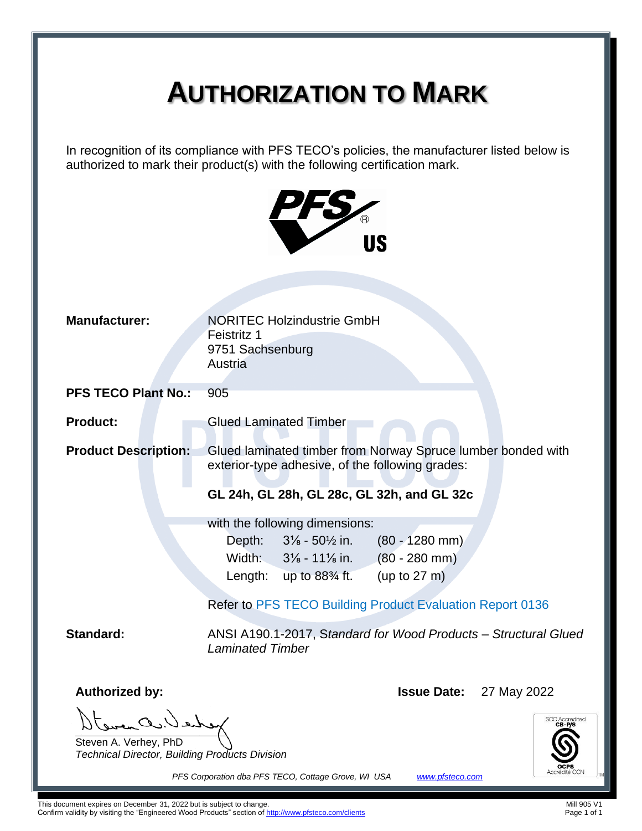# **AUTHORIZATION TO MARK**

In recognition of its compliance with PFS TECO's policies, the manufacturer listed below is authorized to mark their product(s) with the following certification mark.



| <b>Manufacturer:</b>                                                                                           | <b>NORITEC Holzindustrie GmbH</b><br>Feistritz 1<br>9751 Sachsenburg<br>Austria                                                                                                                                  |  |  |  |  |  |  |
|----------------------------------------------------------------------------------------------------------------|------------------------------------------------------------------------------------------------------------------------------------------------------------------------------------------------------------------|--|--|--|--|--|--|
| <b>PFS TECO Plant No.:</b>                                                                                     | 905                                                                                                                                                                                                              |  |  |  |  |  |  |
| <b>Product:</b>                                                                                                | <b>Glued Laminated Timber</b>                                                                                                                                                                                    |  |  |  |  |  |  |
| <b>Product Description:</b>                                                                                    | Glued laminated timber from Norway Spruce lumber bonded with<br>exterior-type adhesive, of the following grades:                                                                                                 |  |  |  |  |  |  |
|                                                                                                                | GL 24h, GL 28h, GL 28c, GL 32h, and GL 32c                                                                                                                                                                       |  |  |  |  |  |  |
|                                                                                                                | with the following dimensions:<br>$3\%$ - $50\%$ in.<br>$(80 - 1280$ mm)<br>Depth:<br>Width: $3\frac{1}{8}$ - 11 $\frac{1}{8}$ in. (80 - 280 mm)<br>(up to $27 \text{ m}$ )<br>Length: up to $88\frac{3}{4}$ ft. |  |  |  |  |  |  |
|                                                                                                                | <b>Refer to PFS TECO Building Product Evaluation Report 0136</b>                                                                                                                                                 |  |  |  |  |  |  |
| <b>Standard:</b><br>ANSI A190.1-2017, Standard for Wood Products - Structural Glued<br><b>Laminated Timber</b> |                                                                                                                                                                                                                  |  |  |  |  |  |  |
| <b>Authorized by:</b>                                                                                          | <b>Issue Date:</b> 27 May 2022                                                                                                                                                                                   |  |  |  |  |  |  |
| Steven A. Verhey, PhD<br>Technical Director, Building Products Division                                        | <b>SCC Accredited</b>                                                                                                                                                                                            |  |  |  |  |  |  |

*PFS Corporation dba PFS TECO, Cottage Grove, WI USA [www.pfsteco.com](http://www.pfsteco.com/)*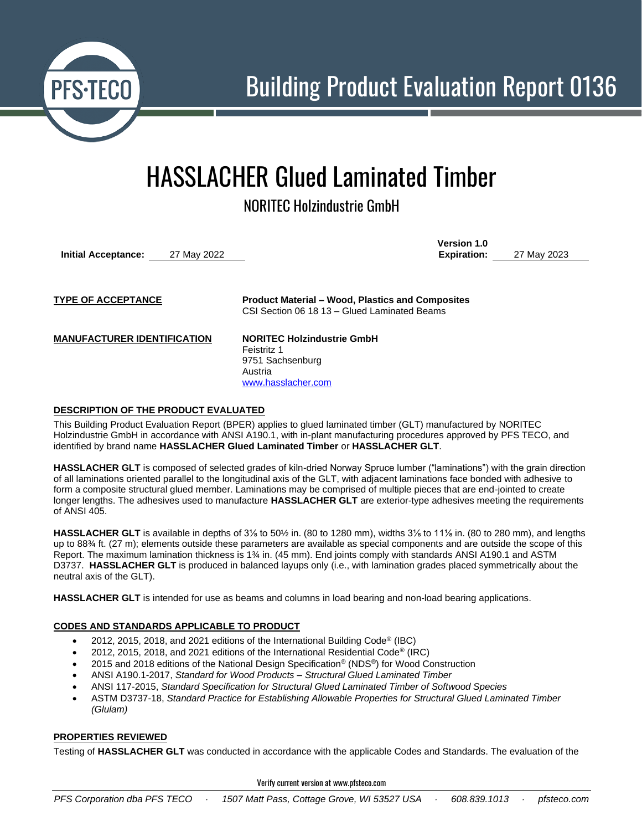

## HASSLACHER Glued Laminated Timber

NORITEC Holzindustrie GmbH

**Initial Acceptance:** 27 May 2022

**Version 1.0 Expiration:** 27 May 2023

**TYPE OF ACCEPTANCE Product Material – Wood, Plastics and Composites** CSI Section 06 18 13 – Glued Laminated Beams

**MANUFACTURER IDENTIFICATION NORITEC Holzindustrie GmbH**

Feistritz 1 9751 Sachsenburg Austria [www.hasslacher.com](http://www.hasslacher.com/)

### **DESCRIPTION OF THE PRODUCT EVALUATED**

This Building Product Evaluation Report (BPER) applies to glued laminated timber (GLT) manufactured by NORITEC Holzindustrie GmbH in accordance with ANSI A190.1, with in-plant manufacturing procedures approved by PFS TECO, and identified by brand name **HASSLACHER Glued Laminated Timber** or **HASSLACHER GLT**.

**HASSLACHER GLT** is composed of selected grades of kiln-dried Norway Spruce lumber ("laminations") with the grain direction of all laminations oriented parallel to the longitudinal axis of the GLT, with adjacent laminations face bonded with adhesive to form a composite structural glued member. Laminations may be comprised of multiple pieces that are end-jointed to create longer lengths. The adhesives used to manufacture **HASSLACHER GLT** are exterior-type adhesives meeting the requirements of ANSI 405.

**HASSLACHER GLT** is available in depths of 3⅛ to 50½ in. (80 to 1280 mm), widths 3⅛ to 11⅛ in. (80 to 280 mm), and lengths up to 88¾ ft. (27 m); elements outside these parameters are available as special components and are outside the scope of this Report. The maximum lamination thickness is 1¾ in. (45 mm). End joints comply with standards ANSI A190.1 and ASTM D3737. **HASSLACHER GLT** is produced in balanced layups only (i.e., with lamination grades placed symmetrically about the neutral axis of the GLT).

**HASSLACHER GLT** is intended for use as beams and columns in load bearing and non-load bearing applications.

## **CODES AND STANDARDS APPLICABLE TO PRODUCT**

- 2012, 2015, 2018, and 2021 editions of the International Building Code® (IBC)
- 2012, 2015, 2018, and 2021 editions of the International Residential Code® (IRC)
- 2015 and 2018 editions of the National Design Specification® (NDS®) for Wood Construction
- ANSI A190.1-2017, *Standard for Wood Products – Structural Glued Laminated Timber*
- ANSI 117-2015, *Standard Specification for Structural Glued Laminated Timber of Softwood Species*
- ASTM D3737-18, *Standard Practice for Establishing Allowable Properties for Structural Glued Laminated Timber (Glulam)*

#### **PROPERTIES REVIEWED**

Testing of **HASSLACHER GLT** was conducted in accordance with the applicable Codes and Standards. The evaluation of the

Verify current version at www.pfsteco.com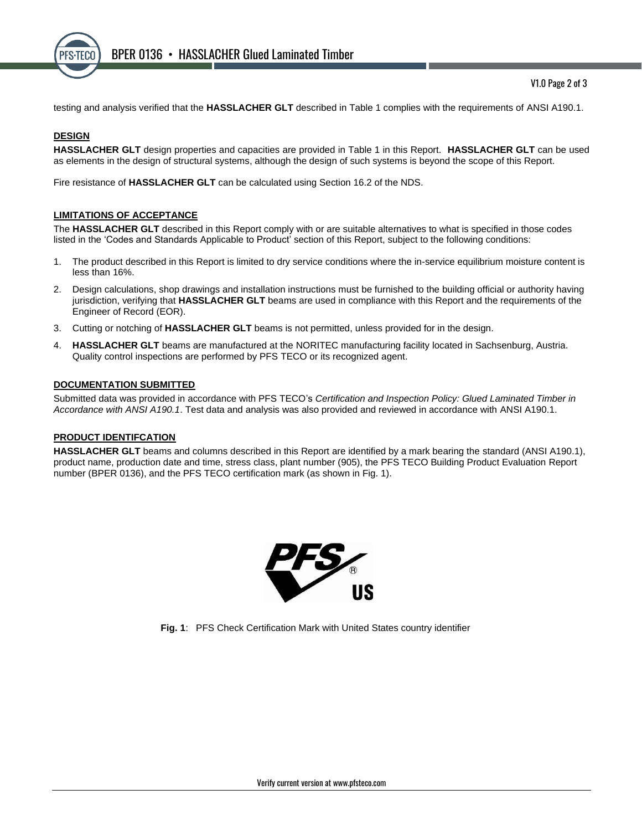

testing and analysis verified that the **HASSLACHER GLT** described in Table 1 complies with the requirements of ANSI A190.1.

## **DESIGN**

**HASSLACHER GLT** design properties and capacities are provided in Table 1 in this Report. **HASSLACHER GLT** can be used as elements in the design of structural systems, although the design of such systems is beyond the scope of this Report.

Fire resistance of **HASSLACHER GLT** can be calculated using Section 16.2 of the NDS.

#### **LIMITATIONS OF ACCEPTANCE**

The **HASSLACHER GLT** described in this Report comply with or are suitable alternatives to what is specified in those codes listed in the 'Codes and Standards Applicable to Product' section of this Report, subject to the following conditions:

- 1. The product described in this Report is limited to dry service conditions where the in-service equilibrium moisture content is less than 16%.
- 2. Design calculations, shop drawings and installation instructions must be furnished to the building official or authority having jurisdiction, verifying that **HASSLACHER GLT** beams are used in compliance with this Report and the requirements of the Engineer of Record (EOR).
- 3. Cutting or notching of **HASSLACHER GLT** beams is not permitted, unless provided for in the design.
- 4. **HASSLACHER GLT** beams are manufactured at the NORITEC manufacturing facility located in Sachsenburg, Austria. Quality control inspections are performed by PFS TECO or its recognized agent.

#### **DOCUMENTATION SUBMITTED**

Submitted data was provided in accordance with PFS TECO's *Certification and Inspection Policy: Glued Laminated Timber in Accordance with ANSI A190.1*. Test data and analysis was also provided and reviewed in accordance with ANSI A190.1.

#### **PRODUCT IDENTIFCATION**

**HASSLACHER GLT** beams and columns described in this Report are identified by a mark bearing the standard (ANSI A190.1), product name, production date and time, stress class, plant number (905), the PFS TECO Building Product Evaluation Report number (BPER 0136), and the PFS TECO certification mark (as shown in Fig. 1).



**Fig. 1**: PFS Check Certification Mark with United States country identifier